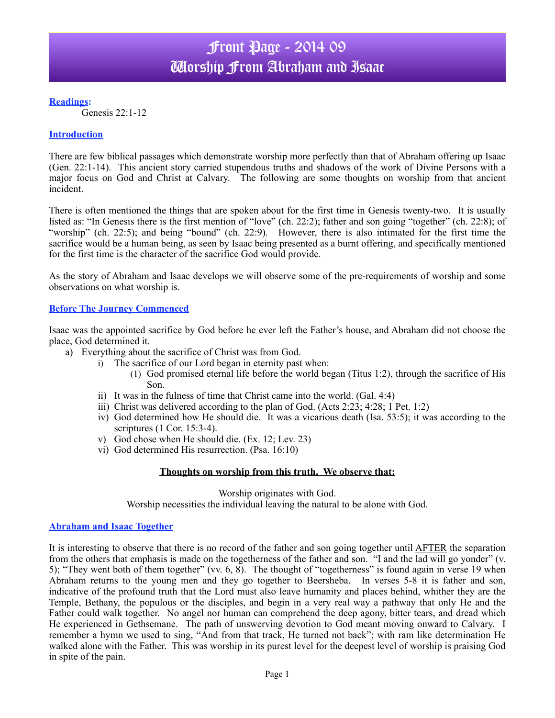**Readings:**

Genesis 22:1-12

## **Introduction**

There are few biblical passages which demonstrate worship more perfectly than that of Abraham offering up Isaac (Gen. 22:1-14). This ancient story carried stupendous truths and shadows of the work of Divine Persons with a major focus on God and Christ at Calvary. The following are some thoughts on worship from that ancient incident.

There is often mentioned the things that are spoken about for the first time in Genesis twenty-two. It is usually listed as: "In Genesis there is the first mention of "love" (ch. 22:2); father and son going "together" (ch. 22:8); of "worship" (ch. 22:5); and being "bound" (ch. 22:9). However, there is also intimated for the first time the sacrifice would be a human being, as seen by Isaac being presented as a burnt offering, and specifically mentioned for the first time is the character of the sacrifice God would provide.

As the story of Abraham and Isaac develops we will observe some of the pre-requirements of worship and some observations on what worship is.

### **Before The Journey Commenced**

Isaac was the appointed sacrifice by God before he ever left the Father's house, and Abraham did not choose the place, God determined it.

- a) Everything about the sacrifice of Christ was from God.
	- i) The sacrifice of our Lord began in eternity past when:
		- (1) God promised eternal life before the world began (Titus 1:2), through the sacrifice of His Son.
	- ii) It was in the fulness of time that Christ came into the world. (Gal. 4:4)
	- iii) Christ was delivered according to the plan of God. (Acts 2:23; 4:28; 1 Pet. 1:2)
	- iv) God determined how He should die. It was a vicarious death (Isa. 53:5); it was according to the scriptures (1 Cor. 15:3-4).
	- v) God chose when He should die. (Ex. 12; Lev. 23)
	- vi) God determined His resurrection. (Psa. 16:10)

#### **Thoughts on worship from this truth. We observe that:**

Worship originates with God. Worship necessities the individual leaving the natural to be alone with God.

#### **Abraham and Isaac Together**

It is interesting to observe that there is no record of the father and son going together until AFTER the separation from the others that emphasis is made on the togetherness of the father and son. "I and the lad will go yonder" (v. 5); "They went both of them together" (vv. 6, 8). The thought of "togetherness" is found again in verse 19 when Abraham returns to the young men and they go together to Beersheba. In verses 5-8 it is father and son, indicative of the profound truth that the Lord must also leave humanity and places behind, whither they are the Temple, Bethany, the populous or the disciples, and begin in a very real way a pathway that only He and the Father could walk together.No angel nor human can comprehend the deep agony, bitter tears, and dread which He experienced in Gethsemane. The path of unswerving devotion to God meant moving onward to Calvary. I remember a hymn we used to sing, "And from that track, He turned not back"; with ram like determination He walked alone with the Father. This was worship in its purest level for the deepest level of worship is praising God in spite of the pain.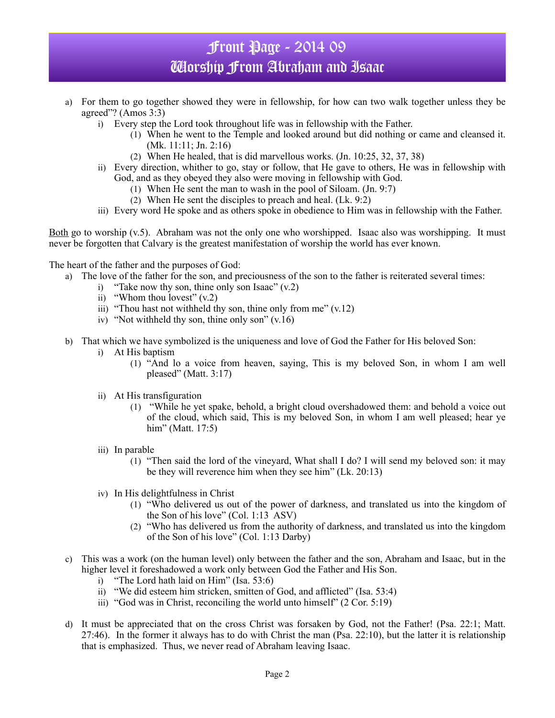# Front Page - 2014 09 Worship From Abraham and Isaac

- a) For them to go together showed they were in fellowship, for how can two walk together unless they be agreed"? (Amos 3:3)
	- i) Every step the Lord took throughout life was in fellowship with the Father.
		- (1) When he went to the Temple and looked around but did nothing or came and cleansed it. (Mk. 11:11; Jn. 2:16)
		- (2) When He healed, that is did marvellous works. (Jn. 10:25, 32, 37, 38)
	- ii) Every direction, whither to go, stay or follow, that He gave to others, He was in fellowship with God, and as they obeyed they also were moving in fellowship with God.
		- (1) When He sent the man to wash in the pool of Siloam. (Jn. 9:7)
		- (2) When He sent the disciples to preach and heal. (Lk. 9:2)
	- iii) Every word He spoke and as others spoke in obedience to Him was in fellowship with the Father.

Both go to worship (v.5). Abraham was not the only one who worshipped. Isaac also was worshipping. It must never be forgotten that Calvary is the greatest manifestation of worship the world has ever known.

The heart of the father and the purposes of God:

- a) The love of the father for the son, and preciousness of the son to the father is reiterated several times:
	- i) "Take now thy son, thine only son Isaac"  $(v.2)$
	- ii) "Whom thou lovest"  $(v.2)$
	- iii) "Thou hast not withheld thy son, thine only from me"  $(v.12)$
	- iv) "Not withheld thy son, thine only son" (v.16)
- b) That which we have symbolized is the uniqueness and love of God the Father for His beloved Son:
	- i) At His baptism
		- (1) "And lo a voice from heaven, saying, This is my beloved Son, in whom I am well pleased" (Matt. 3:17)
	- ii) At His transfiguration
		- (1) "While he yet spake, behold, a bright cloud overshadowed them: and behold a voice out of the cloud, which said, This is my beloved Son, in whom I am well pleased; hear ye him" (Matt. 17:5)
	- iii) In parable
		- (1) "Then said the lord of the vineyard, What shall I do? I will send my beloved son: it may be they will reverence him when they see him" (Lk. 20:13)
	- iv) In His delightfulness in Christ
		- (1) "Who delivered us out of the power of darkness, and translated us into the kingdom of the Son of his love" (Col. 1:13 ASV)
		- (2) "Who has delivered us from the authority of darkness, and translated us into the kingdom of the Son of his love" (Col. 1:13 Darby)
- c) This was a work (on the human level) only between the father and the son, Abraham and Isaac, but in the higher level it foreshadowed a work only between God the Father and His Son.
	- i) "The Lord hath laid on Him" (Isa. 53:6)
	- ii) "We did esteem him stricken, smitten of God, and afflicted" (Isa. 53:4)
	- iii) "God was in Christ, reconciling the world unto himself" (2 Cor. 5:19)
- d) It must be appreciated that on the cross Christ was forsaken by God, not the Father! (Psa. 22:1; Matt. 27:46). In the former it always has to do with Christ the man (Psa. 22:10), but the latter it is relationship that is emphasized. Thus, we never read of Abraham leaving Isaac.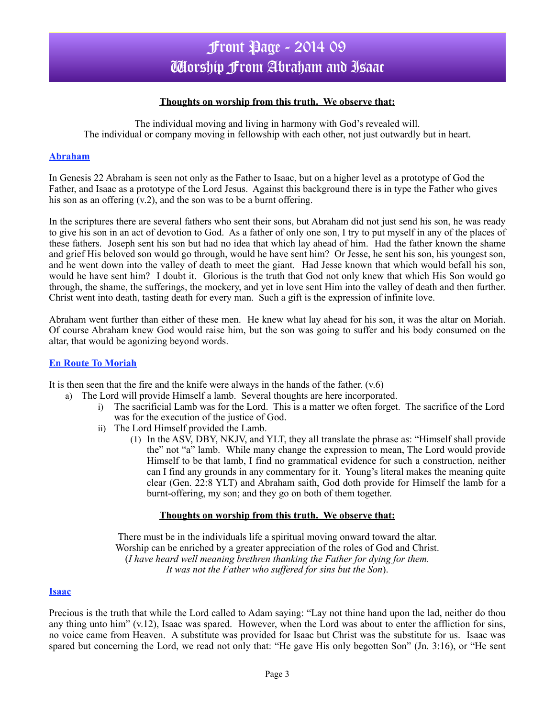## **Thoughts on worship from this truth. We observe that:**

The individual moving and living in harmony with God's revealed will. The individual or company moving in fellowship with each other, not just outwardly but in heart.

## **Abraham**

In Genesis 22 Abraham is seen not only as the Father to Isaac, but on a higher level as a prototype of God the Father, and Isaac as a prototype of the Lord Jesus. Against this background there is in type the Father who gives his son as an offering (v.2), and the son was to be a burnt offering.

In the scriptures there are several fathers who sent their sons, but Abraham did not just send his son, he was ready to give his son in an act of devotion to God. As a father of only one son, I try to put myself in any of the places of these fathers. Joseph sent his son but had no idea that which lay ahead of him. Had the father known the shame and grief His beloved son would go through, would he have sent him? Or Jesse, he sent his son, his youngest son, and he went down into the valley of death to meet the giant. Had Jesse known that which would befall his son, would he have sent him? I doubt it. Glorious is the truth that God not only knew that which His Son would go through, the shame, the sufferings, the mockery, and yet in love sent Him into the valley of death and then further. Christ went into death, tasting death for every man. Such a gift is the expression of infinite love.

Abraham went further than either of these men. He knew what lay ahead for his son, it was the altar on Moriah. Of course Abraham knew God would raise him, but the son was going to suffer and his body consumed on the altar, that would be agonizing beyond words.

#### **En Route To Moriah**

It is then seen that the fire and the knife were always in the hands of the father. (v.6)

- a) The Lord will provide Himself a lamb. Several thoughts are here incorporated.
	- i) The sacrificial Lamb was for the Lord. This is a matter we often forget. The sacrifice of the Lord was for the execution of the justice of God.
	- ii) The Lord Himself provided the Lamb.
		- (1) In the ASV, DBY, NKJV, and YLT, they all translate the phrase as: "Himself shall provide the" not "a" lamb. While many change the expression to mean, The Lord would provide Himself to be that lamb, I find no grammatical evidence for such a construction, neither can I find any grounds in any commentary for it. Young's literal makes the meaning quite clear (Gen. 22:8 YLT) and Abraham saith, God doth provide for Himself the lamb for a burnt-offering, my son; and they go on both of them together.

#### **Thoughts on worship from this truth. We observe that:**

There must be in the individuals life a spiritual moving onward toward the altar. Worship can be enriched by a greater appreciation of the roles of God and Christ. (*I have heard well meaning brethren thanking the Father for dying for them. It was not the Father who suffered for sins but the Son*).

## **Isaac**

Precious is the truth that while the Lord called to Adam saying: "Lay not thine hand upon the lad, neither do thou any thing unto him" (v.12), Isaac was spared. However, when the Lord was about to enter the affliction for sins, no voice came from Heaven. A substitute was provided for Isaac but Christ was the substitute for us. Isaac was spared but concerning the Lord, we read not only that: "He gave His only begotten Son" (Jn. 3:16), or "He sent